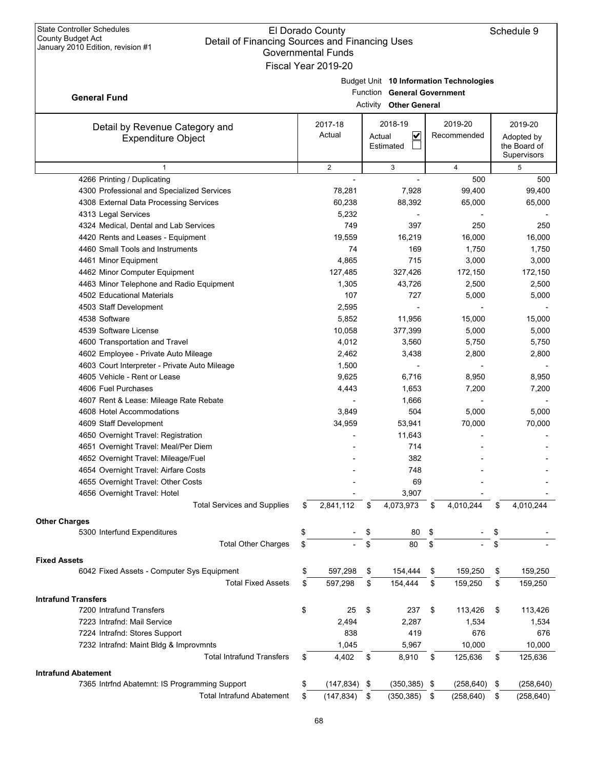## El Dorado County Detail of Financing Sources and Financing Uses Governmental Funds Fiscal Year 2019-20

|                                                                        |    | Governmental Funds  |          |                                         |                       |                  |
|------------------------------------------------------------------------|----|---------------------|----------|-----------------------------------------|-----------------------|------------------|
|                                                                        |    | Fiscal Year 2019-20 |          |                                         |                       |                  |
|                                                                        |    |                     |          | Budget Unit 10 Information Technologies |                       |                  |
| <b>General Fund</b>                                                    |    |                     | Function | <b>General Government</b>               |                       |                  |
|                                                                        |    |                     | Activity | <b>Other General</b>                    |                       |                  |
|                                                                        |    | 2017-18             |          | 2018-19                                 | 2019-20               | 2019-20          |
| Detail by Revenue Category and<br><b>Expenditure Object</b>            |    | Actual              | Actual   | $\overline{\mathbf{v}}$                 | Recommended           | Adopted by       |
|                                                                        |    |                     |          | Estimated                               |                       | the Board of     |
|                                                                        |    |                     |          |                                         |                       | Supervisors      |
| $\mathbf{1}$                                                           |    | $\overline{c}$      |          | 3                                       | $\overline{4}$        | 5                |
| 4266 Printing / Duplicating                                            |    |                     |          |                                         | 500                   | 500              |
| 4300 Professional and Specialized Services                             |    | 78,281              |          | 7,928                                   | 99,400                | 99,400           |
| 4308 External Data Processing Services                                 |    | 60,238              |          | 88,392                                  | 65,000                | 65,000           |
| 4313 Legal Services                                                    |    | 5,232               |          |                                         |                       |                  |
| 4324 Medical, Dental and Lab Services                                  |    | 749                 |          | 397                                     | 250                   | 250              |
| 4420 Rents and Leases - Equipment                                      |    | 19,559              |          | 16,219                                  | 16,000                | 16,000           |
| 4460 Small Tools and Instruments                                       |    | 74                  |          | 169                                     | 1,750                 | 1,750            |
| 4461 Minor Equipment                                                   |    | 4,865               |          | 715                                     | 3,000                 | 3,000            |
| 4462 Minor Computer Equipment                                          |    | 127,485             |          | 327,426                                 | 172,150               | 172,150          |
| 4463 Minor Telephone and Radio Equipment<br>4502 Educational Materials |    | 1,305<br>107        |          | 43,726<br>727                           | 2,500<br>5,000        | 2,500            |
|                                                                        |    | 2,595               |          |                                         |                       | 5,000            |
| 4503 Staff Development<br>4538 Software                                |    | 5,852               |          | 11,956                                  | 15,000                | 15,000           |
| 4539 Software License                                                  |    | 10,058              |          | 377,399                                 | 5,000                 | 5,000            |
| 4600 Transportation and Travel                                         |    | 4,012               |          | 3,560                                   | 5,750                 | 5,750            |
| 4602 Employee - Private Auto Mileage                                   |    | 2,462               |          | 3,438                                   | 2,800                 | 2,800            |
| 4603 Court Interpreter - Private Auto Mileage                          |    | 1,500               |          |                                         |                       |                  |
| 4605 Vehicle - Rent or Lease                                           |    | 9,625               |          | 6,716                                   | 8,950                 | 8,950            |
| 4606 Fuel Purchases                                                    |    | 4,443               |          | 1,653                                   | 7,200                 | 7,200            |
| 4607 Rent & Lease: Mileage Rate Rebate                                 |    |                     |          | 1,666                                   |                       |                  |
| 4608 Hotel Accommodations                                              |    | 3,849               |          | 504                                     | 5,000                 | 5,000            |
| 4609 Staff Development                                                 |    | 34,959              |          | 53,941                                  | 70,000                | 70,000           |
| 4650 Overnight Travel: Registration                                    |    |                     |          | 11,643                                  |                       |                  |
| 4651 Overnight Travel: Meal/Per Diem                                   |    |                     |          | 714                                     |                       |                  |
| 4652 Overnight Travel: Mileage/Fuel                                    |    |                     |          | 382                                     |                       |                  |
| 4654 Overnight Travel: Airfare Costs                                   |    |                     |          | 748                                     |                       |                  |
| 4655 Overnight Travel: Other Costs                                     |    |                     |          | 69                                      |                       |                  |
| 4656 Overnight Travel: Hotel                                           |    |                     |          | 3,907                                   |                       |                  |
| <b>Total Services and Supplies</b>                                     |    | 2,841,112           | \$       | 4,073,973                               | \$<br>4,010,244       | \$<br>4,010,244  |
|                                                                        |    |                     |          |                                         |                       |                  |
| <b>Other Charges</b><br>5300 Interfund Expenditures                    | \$ |                     |          | 80                                      | \$                    | \$               |
| <b>Total Other Charges</b>                                             | \$ |                     | \$       | 80                                      | \$                    | \$               |
|                                                                        |    |                     |          |                                         |                       |                  |
| <b>Fixed Assets</b>                                                    |    |                     |          |                                         |                       |                  |
| 6042 Fixed Assets - Computer Sys Equipment                             | \$ | 597,298             | \$       | 154,444                                 | \$<br>159,250         | \$<br>159,250    |
| <b>Total Fixed Assets</b>                                              | \$ | 597,298             | \$       | 154,444                                 | \$<br>159,250         | \$<br>159,250    |
| <b>Intrafund Transfers</b>                                             |    |                     |          |                                         |                       |                  |
| 7200 Intrafund Transfers                                               |    | 25                  | \$       | 237                                     | \$<br>113,426         | \$<br>113,426    |
| 7223 Intrafnd: Mail Service                                            |    | 2,494               |          | 2,287                                   | 1,534                 | 1,534            |
| 7224 Intrafnd: Stores Support                                          |    | 838                 |          | 419                                     | 676                   | 676              |
| 7232 Intrafnd: Maint Bldg & Improvmnts                                 |    | 1,045               |          | 5,967                                   | 10,000                | 10,000           |
| <b>Total Intrafund Transfers</b>                                       | \$ | 4,402               | \$       | 8,910                                   | \$<br>125,636         | \$<br>125,636    |
| <b>Intrafund Abatement</b>                                             |    |                     |          |                                         |                       |                  |
| 7365 Intrfnd Abatemnt: IS Programming Support                          | \$ | $(147, 834)$ \$     |          | (350, 385)                              | \$<br>$(258, 640)$ \$ | (258, 640)       |
| <b>Total Intrafund Abatement</b>                                       | \$ | (147, 834)          | \$       | (350, 385)                              | \$<br>(258, 640)      | \$<br>(258, 640) |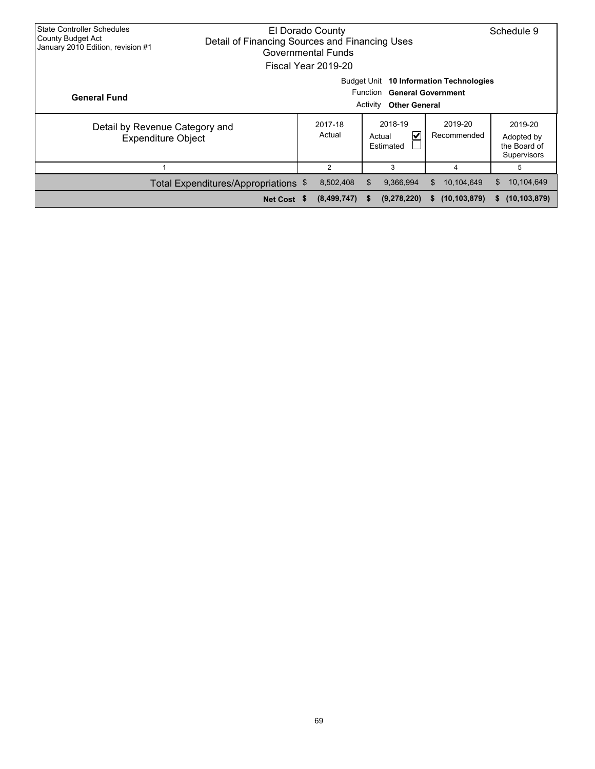| <b>State Controller Schedules</b><br><b>County Budget Act</b><br>January 2010 Edition, revision #1 | El Dorado County<br>Detail of Financing Sources and Financing Uses<br>Governmental Funds<br>Fiscal Year 2019-20 |                   |                                     |                        |                                                      |  |  |
|----------------------------------------------------------------------------------------------------|-----------------------------------------------------------------------------------------------------------------|-------------------|-------------------------------------|------------------------|------------------------------------------------------|--|--|
| <b>General Fund</b>                                                                                | Budget Unit<br>10 Information Technologies<br>Function General Government<br><b>Other General</b><br>Activity   |                   |                                     |                        |                                                      |  |  |
| Detail by Revenue Category and<br><b>Expenditure Object</b>                                        |                                                                                                                 | 2017-18<br>Actual | 2018-19<br>V<br>Actual<br>Estimated | 2019-20<br>Recommended | 2019-20<br>Adopted by<br>the Board of<br>Supervisors |  |  |
|                                                                                                    |                                                                                                                 | 2                 | 3                                   | 4                      | 5                                                    |  |  |
|                                                                                                    | Total Expenditures/Appropriations \$                                                                            | 8,502,408         | 9,366,994<br>\$                     | 10,104,649<br>\$.      | 10,104,649<br>\$.                                    |  |  |
|                                                                                                    | Net Cost \$                                                                                                     | (8,499,747)       | (9,278,220)<br>- 56                 | (10, 103, 879)<br>S.   | (10, 103, 879)<br>s.                                 |  |  |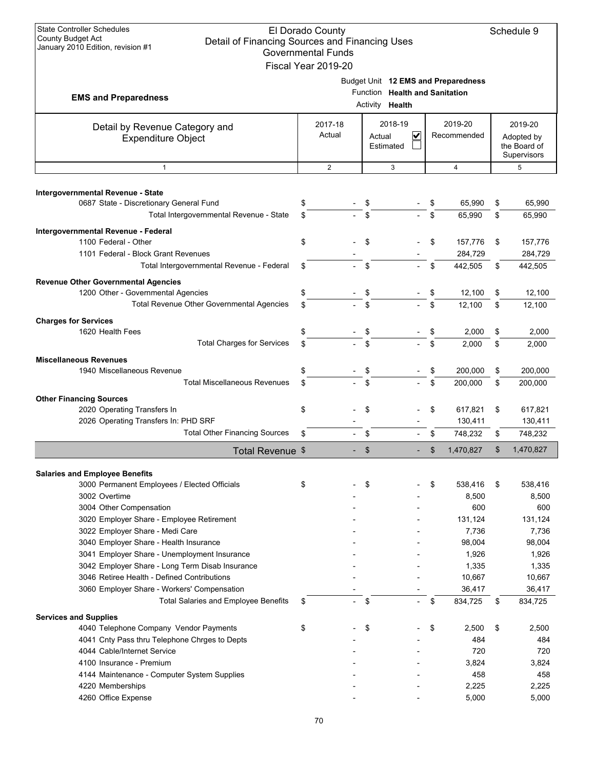| <b>State Controller Schedules</b><br>El Dorado County<br><b>County Budget Act</b><br>Detail of Financing Sources and Financing Uses<br>January 2010 Edition, revision #1<br><b>Governmental Funds</b><br>Fiscal Year 2019-20 |                   |          |                                                   |    |                                     |          |                                                      |
|------------------------------------------------------------------------------------------------------------------------------------------------------------------------------------------------------------------------------|-------------------|----------|---------------------------------------------------|----|-------------------------------------|----------|------------------------------------------------------|
| <b>EMS and Preparedness</b>                                                                                                                                                                                                  |                   |          | Function Health and Sanitation<br>Activity Health |    | Budget Unit 12 EMS and Preparedness |          |                                                      |
| Detail by Revenue Category and<br><b>Expenditure Object</b>                                                                                                                                                                  | 2017-18<br>Actual | Actual   | 2018-19<br>V<br>Estimated                         |    | 2019-20<br>Recommended              |          | 2019-20<br>Adopted by<br>the Board of<br>Supervisors |
| $\mathbf{1}$                                                                                                                                                                                                                 | 2                 |          | 3                                                 |    | $\overline{4}$                      |          | 5                                                    |
| Intergovernmental Revenue - State<br>0687 State - Discretionary General Fund<br>Total Intergovernmental Revenue - State                                                                                                      | \$<br>\$          | \$<br>\$ |                                                   | \$ | 65,990<br>65,990                    | \$<br>\$ | 65,990<br>65,990                                     |
| Intergovernmental Revenue - Federal<br>1100 Federal - Other                                                                                                                                                                  | \$                | \$       |                                                   | \$ | 157,776                             | \$       | 157,776                                              |
| 1101 Federal - Block Grant Revenues<br>Total Intergovernmental Revenue - Federal                                                                                                                                             | \$                | \$       |                                                   | \$ | 284,729<br>442,505                  | \$       | 284,729<br>442,505                                   |
| <b>Revenue Other Governmental Agencies</b><br>1200 Other - Governmental Agencies<br><b>Total Revenue Other Governmental Agencies</b>                                                                                         | \$<br>\$          | \$       |                                                   |    | 12,100<br>12,100                    | \$<br>\$ | 12,100<br>12,100                                     |
| <b>Charges for Services</b><br>1620 Health Fees                                                                                                                                                                              | \$                | \$       |                                                   |    | 2,000                               | \$       | 2,000                                                |
| <b>Total Charges for Services</b>                                                                                                                                                                                            | \$                | \$       |                                                   | \$ | 2,000                               | \$       | 2,000                                                |
| <b>Miscellaneous Revenues</b><br>1940 Miscellaneous Revenue                                                                                                                                                                  | \$                | \$       |                                                   | \$ | 200,000                             | \$       | 200,000                                              |
| <b>Total Miscellaneous Revenues</b>                                                                                                                                                                                          | \$                | \$       |                                                   | \$ | 200,000                             | \$       | 200,000                                              |
| <b>Other Financing Sources</b><br>2020 Operating Transfers In<br>2026 Operating Transfers In: PHD SRF                                                                                                                        | \$                | \$       |                                                   | \$ | 617,821<br>130,411                  | \$       | 617,821<br>130,411                                   |
| <b>Total Other Financing Sources</b>                                                                                                                                                                                         | \$                | \$       |                                                   | \$ | 748,232                             | \$       | 748,232                                              |
| Total Revenue \$                                                                                                                                                                                                             |                   | \$       |                                                   | \$ | 1,470,827                           | \$       | 1,470,827                                            |
|                                                                                                                                                                                                                              |                   |          |                                                   |    |                                     |          |                                                      |
| <b>Salaries and Employee Benefits</b><br>3000 Permanent Employees / Elected Officials<br>3002 Overtime<br>3004 Other Compensation                                                                                            | \$                | \$       |                                                   | \$ | 538,416<br>8,500<br>600             | \$       | 538,416<br>8,500<br>600                              |
| 3020 Employer Share - Employee Retirement<br>3022 Employer Share - Medi Care<br>3040 Employer Share - Health Insurance                                                                                                       |                   |          |                                                   |    | 131,124<br>7,736<br>98,004          |          | 131,124<br>7,736<br>98,004                           |
| 3041 Employer Share - Unemployment Insurance<br>3042 Employer Share - Long Term Disab Insurance<br>3046 Retiree Health - Defined Contributions                                                                               |                   |          |                                                   |    | 1,926<br>1,335<br>10,667            |          | 1,926<br>1,335<br>10,667                             |
| 3060 Employer Share - Workers' Compensation<br><b>Total Salaries and Employee Benefits</b>                                                                                                                                   | \$                | \$       |                                                   | \$ | 36,417<br>834,725                   | \$       | 36,417<br>834,725                                    |
| <b>Services and Supplies</b><br>4040 Telephone Company Vendor Payments<br>4041 Cnty Pass thru Telephone Chrges to Depts<br>4044 Cable/Internet Service<br>4100 Insurance - Premium                                           | \$                | \$       |                                                   | \$ | 2,500<br>484<br>720<br>3,824        | \$       | 2,500<br>484<br>720<br>3,824                         |
| 4144 Maintenance - Computer System Supplies<br>4220 Memberships<br>4260 Office Expense                                                                                                                                       |                   |          |                                                   |    | 458<br>2,225<br>5,000               |          | 458<br>2,225<br>5,000                                |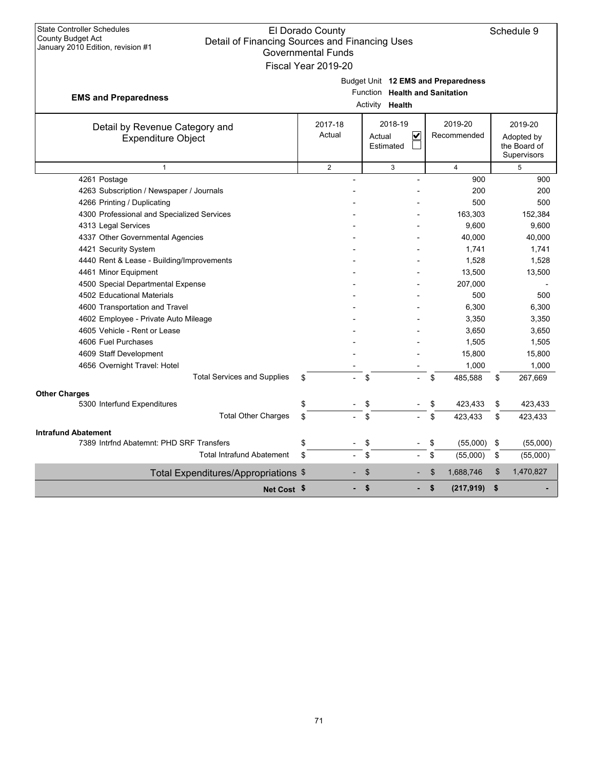| <b>State Controller Schedules</b><br>El Dorado County<br>County Budget Act<br>Detail of Financing Sources and Financing Uses<br>January 2010 Edition, revision #1<br><b>Governmental Funds</b><br>Fiscal Year 2019-20 |                   |    |                                                |    |                        |    | Schedule 9                                           |
|-----------------------------------------------------------------------------------------------------------------------------------------------------------------------------------------------------------------------|-------------------|----|------------------------------------------------|----|------------------------|----|------------------------------------------------------|
| Budget Unit 12 EMS and Preparedness<br>Function Health and Sanitation<br><b>EMS and Preparedness</b><br>Activity <b>Health</b>                                                                                        |                   |    |                                                |    |                        |    |                                                      |
| Detail by Revenue Category and<br><b>Expenditure Object</b>                                                                                                                                                           | 2017-18<br>Actual |    | 2018-19<br>$\checkmark$<br>Actual<br>Estimated |    | 2019-20<br>Recommended |    | 2019-20<br>Adopted by<br>the Board of<br>Supervisors |
| $\mathbf{1}$                                                                                                                                                                                                          | $\overline{2}$    |    | 3                                              |    | $\overline{4}$         |    | 5                                                    |
| 4261 Postage                                                                                                                                                                                                          |                   |    |                                                |    | 900                    |    | 900                                                  |
| 4263 Subscription / Newspaper / Journals                                                                                                                                                                              |                   |    |                                                |    | 200                    |    | 200                                                  |
| 4266 Printing / Duplicating                                                                                                                                                                                           |                   |    |                                                |    | 500                    |    | 500                                                  |
| 4300 Professional and Specialized Services                                                                                                                                                                            |                   |    |                                                |    | 163,303                |    | 152,384                                              |
| 4313 Legal Services                                                                                                                                                                                                   |                   |    |                                                |    | 9,600                  |    | 9,600                                                |
| 4337 Other Governmental Agencies                                                                                                                                                                                      |                   |    |                                                |    | 40,000                 |    | 40,000                                               |
| 4421 Security System                                                                                                                                                                                                  |                   |    |                                                |    | 1,741                  |    | 1,741                                                |
| 4440 Rent & Lease - Building/Improvements                                                                                                                                                                             |                   |    |                                                |    | 1,528                  |    | 1,528                                                |
| 4461 Minor Equipment                                                                                                                                                                                                  |                   |    |                                                |    | 13,500                 |    | 13,500                                               |
| 4500 Special Departmental Expense                                                                                                                                                                                     |                   |    |                                                |    | 207,000                |    |                                                      |
| 4502 Educational Materials                                                                                                                                                                                            |                   |    |                                                |    | 500                    |    | 500                                                  |
| 4600 Transportation and Travel                                                                                                                                                                                        |                   |    |                                                |    | 6,300                  |    | 6,300                                                |
| 4602 Employee - Private Auto Mileage                                                                                                                                                                                  |                   |    |                                                |    | 3,350                  |    | 3,350                                                |
| 4605 Vehicle - Rent or Lease                                                                                                                                                                                          |                   |    |                                                |    | 3,650                  |    | 3,650                                                |
| 4606 Fuel Purchases                                                                                                                                                                                                   |                   |    |                                                |    | 1,505                  |    | 1,505                                                |
| 4609 Staff Development                                                                                                                                                                                                |                   |    |                                                |    | 15,800                 |    | 15,800                                               |
| 4656 Overnight Travel: Hotel                                                                                                                                                                                          |                   |    |                                                |    | 1,000                  |    | 1,000                                                |
| <b>Total Services and Supplies</b>                                                                                                                                                                                    | \$                | \$ |                                                | \$ | 485,588                | \$ | 267,669                                              |
| <b>Other Charges</b>                                                                                                                                                                                                  |                   |    |                                                |    |                        |    |                                                      |
| 5300 Interfund Expenditures                                                                                                                                                                                           | \$                | \$ |                                                | \$ | 423,433                | \$ | 423,433                                              |
| <b>Total Other Charges</b>                                                                                                                                                                                            | \$                | \$ |                                                | \$ | 423,433                | \$ | 423,433                                              |
| <b>Intrafund Abatement</b>                                                                                                                                                                                            |                   |    |                                                |    |                        |    |                                                      |
| 7389 Intrfnd Abatemnt: PHD SRF Transfers                                                                                                                                                                              | \$                | \$ |                                                | \$ | (55,000)               | \$ | (55,000)                                             |
| <b>Total Intrafund Abatement</b>                                                                                                                                                                                      | \$                | \$ |                                                | \$ | (55,000)               | \$ | (55,000)                                             |
| Total Expenditures/Appropriations \$                                                                                                                                                                                  |                   | \$ |                                                | \$ | 1,688,746              | \$ | 1,470,827                                            |
| Net Cost \$                                                                                                                                                                                                           |                   | \$ | ٠                                              | \$ | (217, 919)             | \$ |                                                      |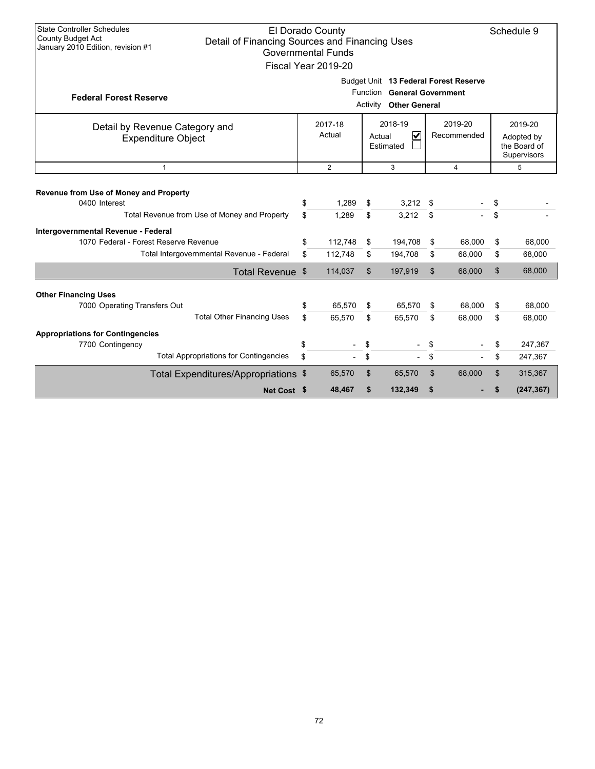| <b>State Controller Schedules</b><br><b>El Dorado County</b><br><b>County Budget Act</b><br>Detail of Financing Sources and Financing Uses<br>January 2010 Edition, revision #1<br><b>Governmental Funds</b><br>Fiscal Year 2019-20 |                                                                                                |                                       |                                                                                     |                    |                |                                                      |          | Schedule 9       |
|-------------------------------------------------------------------------------------------------------------------------------------------------------------------------------------------------------------------------------------|------------------------------------------------------------------------------------------------|---------------------------------------|-------------------------------------------------------------------------------------|--------------------|----------------|------------------------------------------------------|----------|------------------|
| <b>Federal Forest Reserve</b>                                                                                                                                                                                                       | Budget Unit 13 Federal Forest Reserve<br>Function General Government<br>Activity Other General |                                       |                                                                                     |                    |                |                                                      |          |                  |
| Detail by Revenue Category and<br><b>Expenditure Object</b>                                                                                                                                                                         |                                                                                                | 2017-18<br>Actual                     | 2018-19<br>2019-20<br>$\overline{\mathbf{v}}$<br>Recommended<br>Actual<br>Estimated |                    |                | 2019-20<br>Adopted by<br>the Board of<br>Supervisors |          |                  |
| $\mathbf{1}$                                                                                                                                                                                                                        |                                                                                                | $\overline{2}$<br>3<br>$\overline{4}$ |                                                                                     |                    |                |                                                      | 5        |                  |
| Revenue from Use of Money and Property<br>0400 Interest                                                                                                                                                                             | \$                                                                                             | 1,289                                 | \$                                                                                  | $3,212$ \$         |                |                                                      | \$       |                  |
| Total Revenue from Use of Money and Property                                                                                                                                                                                        | \$.                                                                                            | 1,289                                 | \$                                                                                  | 3,212              | \$             |                                                      | \$       |                  |
| Intergovernmental Revenue - Federal<br>1070 Federal - Forest Reserve Revenue<br>Total Intergovernmental Revenue - Federal                                                                                                           | \$<br>\$.                                                                                      | 112,748<br>112.748                    | \$<br>\$                                                                            | 194,708<br>194,708 | \$<br>\$       | 68,000                                               | \$<br>\$ | 68,000           |
|                                                                                                                                                                                                                                     |                                                                                                | 114,037                               | \$                                                                                  | 197,919            | $\mathfrak{S}$ | 68,000<br>68.000                                     | \$       | 68,000<br>68,000 |
| Total Revenue \$                                                                                                                                                                                                                    |                                                                                                |                                       |                                                                                     |                    |                |                                                      |          |                  |
| <b>Other Financing Uses</b><br>7000 Operating Transfers Out                                                                                                                                                                         | \$                                                                                             | 65,570                                | \$                                                                                  | 65,570             | \$             | 68,000                                               | \$       | 68,000           |
| <b>Total Other Financing Uses</b>                                                                                                                                                                                                   | \$                                                                                             | 65,570                                | \$                                                                                  | 65,570             | \$             | 68.000                                               | \$       | 68,000           |
| <b>Appropriations for Contingencies</b>                                                                                                                                                                                             |                                                                                                |                                       |                                                                                     |                    |                |                                                      |          |                  |
| 7700 Contingency                                                                                                                                                                                                                    | \$                                                                                             |                                       | \$                                                                                  |                    | \$             |                                                      | \$       | 247,367          |
| <b>Total Appropriations for Contingencies</b>                                                                                                                                                                                       | \$                                                                                             |                                       | \$                                                                                  |                    | \$             |                                                      | \$       | 247,367          |
| Total Expenditures/Appropriations \$                                                                                                                                                                                                |                                                                                                | 65,570                                | \$                                                                                  | 65,570             | \$             | 68,000                                               | \$       | 315,367          |
| Net Cost \$                                                                                                                                                                                                                         |                                                                                                | 48,467                                | \$                                                                                  | 132,349            | \$             |                                                      | \$       | (247, 367)       |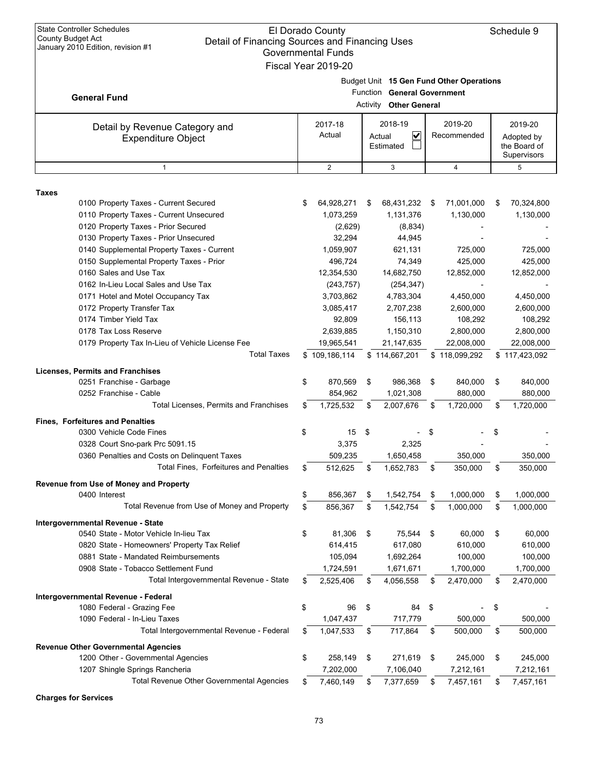| <b>State Controller Schedules</b><br>El Dorado County<br><b>County Budget Act</b><br>Detail of Financing Sources and Financing Uses<br>January 2010 Edition, revision #1<br><b>Governmental Funds</b><br>Fiscal Year 2019-20                                                                                                                                                                                                                                                                                                                                                                                                           |          |                                                                                                                                                                                                        |                             |                                                                                                                                                                                                        |           |                                                                                                                                                                    |          | Schedule 9                                                                                                                                                         |
|----------------------------------------------------------------------------------------------------------------------------------------------------------------------------------------------------------------------------------------------------------------------------------------------------------------------------------------------------------------------------------------------------------------------------------------------------------------------------------------------------------------------------------------------------------------------------------------------------------------------------------------|----------|--------------------------------------------------------------------------------------------------------------------------------------------------------------------------------------------------------|-----------------------------|--------------------------------------------------------------------------------------------------------------------------------------------------------------------------------------------------------|-----------|--------------------------------------------------------------------------------------------------------------------------------------------------------------------|----------|--------------------------------------------------------------------------------------------------------------------------------------------------------------------|
| <b>General Fund</b>                                                                                                                                                                                                                                                                                                                                                                                                                                                                                                                                                                                                                    |          |                                                                                                                                                                                                        | <b>Function</b><br>Activity | <b>General Government</b><br><b>Other General</b>                                                                                                                                                      |           | Budget Unit 15 Gen Fund Other Operations                                                                                                                           |          |                                                                                                                                                                    |
| Detail by Revenue Category and<br><b>Expenditure Object</b>                                                                                                                                                                                                                                                                                                                                                                                                                                                                                                                                                                            |          | 2017-18<br>Actual                                                                                                                                                                                      |                             | 2018-19<br>$\checkmark$<br>Actual<br>Estimated                                                                                                                                                         |           | 2019-20<br>Recommended                                                                                                                                             |          | 2019-20<br>Adopted by<br>the Board of<br>Supervisors                                                                                                               |
| $\mathbf{1}$                                                                                                                                                                                                                                                                                                                                                                                                                                                                                                                                                                                                                           |          | $\overline{2}$                                                                                                                                                                                         |                             | 3                                                                                                                                                                                                      |           | $\overline{4}$                                                                                                                                                     |          | 5                                                                                                                                                                  |
|                                                                                                                                                                                                                                                                                                                                                                                                                                                                                                                                                                                                                                        |          |                                                                                                                                                                                                        |                             |                                                                                                                                                                                                        |           |                                                                                                                                                                    |          |                                                                                                                                                                    |
| Taxes<br>0100 Property Taxes - Current Secured<br>0110 Property Taxes - Current Unsecured<br>0120 Property Taxes - Prior Secured<br>0130 Property Taxes - Prior Unsecured<br>0140 Supplemental Property Taxes - Current<br>0150 Supplemental Property Taxes - Prior<br>0160 Sales and Use Tax<br>0162 In-Lieu Local Sales and Use Tax<br>0171 Hotel and Motel Occupancy Tax<br>0172 Property Transfer Tax<br>0174 Timber Yield Tax<br>0178 Tax Loss Reserve<br>0179 Property Tax In-Lieu of Vehicle License Fee<br><b>Total Taxes</b><br><b>Licenses, Permits and Franchises</b><br>0251 Franchise - Garbage<br>0252 Franchise - Cable | \$<br>\$ | 64,928,271<br>1,073,259<br>(2,629)<br>32,294<br>1,059,907<br>496,724<br>12,354,530<br>(243, 757)<br>3,703,862<br>3,085,417<br>92,809<br>2,639,885<br>19,965,541<br>\$109,186,114<br>870,569<br>854,962 | \$<br>\$                    | 68,431,232<br>1,131,376<br>(8,834)<br>44,945<br>621,131<br>74,349<br>14,682,750<br>(254, 347)<br>4,783,304<br>2,707,238<br>156,113<br>1,150,310<br>21,147,635<br>\$114,667,201<br>986,368<br>1,021,308 | \$<br>\$  | 71,001,000<br>1,130,000<br>725,000<br>425,000<br>12,852,000<br>4,450,000<br>2,600,000<br>108,292<br>2,800,000<br>22,008,000<br>\$118,099,292<br>840,000<br>880,000 | \$<br>\$ | 70,324,800<br>1,130,000<br>725,000<br>425,000<br>12,852,000<br>4,450,000<br>2,600,000<br>108,292<br>2,800,000<br>22,008,000<br>\$117,423,092<br>840,000<br>880,000 |
| Total Licenses, Permits and Franchises                                                                                                                                                                                                                                                                                                                                                                                                                                                                                                                                                                                                 | \$       | 1,725,532                                                                                                                                                                                              | \$                          | 2,007,676                                                                                                                                                                                              | \$        | 1,720,000                                                                                                                                                          | \$       | 1,720,000                                                                                                                                                          |
| <b>Fines, Forfeitures and Penalties</b><br>0300 Vehicle Code Fines<br>0328 Court Sno-park Prc 5091.15<br>0360 Penalties and Costs on Delinquent Taxes<br>Total Fines, Forfeitures and Penalties                                                                                                                                                                                                                                                                                                                                                                                                                                        | \$<br>\$ | 15<br>3,375<br>509,235<br>512,625                                                                                                                                                                      | \$<br>\$                    | 2,325<br>1,650,458<br>1,652,783                                                                                                                                                                        | S<br>\$   | 350,000<br>350,000                                                                                                                                                 | \$<br>\$ | 350,000<br>350,000                                                                                                                                                 |
| Revenue from Use of Money and Property                                                                                                                                                                                                                                                                                                                                                                                                                                                                                                                                                                                                 |          |                                                                                                                                                                                                        |                             |                                                                                                                                                                                                        |           |                                                                                                                                                                    |          |                                                                                                                                                                    |
| 0400 Interest<br>Total Revenue from Use of Money and Property                                                                                                                                                                                                                                                                                                                                                                                                                                                                                                                                                                          | \$<br>\$ | 856,367<br>856,367                                                                                                                                                                                     | \$<br>\$                    | 1,542,754<br>1,542,754                                                                                                                                                                                 | \$<br>\$  | 1,000,000<br>1,000,000                                                                                                                                             | \$<br>\$ | 1,000,000<br>1,000,000                                                                                                                                             |
| Intergovernmental Revenue - State<br>0540 State - Motor Vehicle In-lieu Tax<br>0820 State - Homeowners' Property Tax Relief<br>0881 State - Mandated Reimbursements<br>0908 State - Tobacco Settlement Fund<br>Total Intergovernmental Revenue - State                                                                                                                                                                                                                                                                                                                                                                                 | \$<br>\$ | 81,306<br>614,415<br>105,094<br>1,724,591<br>2,525,406                                                                                                                                                 | \$<br>\$                    | 75,544<br>617,080<br>1,692,264<br>1,671,671<br>4,056,558                                                                                                                                               | -\$<br>\$ | 60,000<br>610,000<br>100,000<br>1,700,000<br>2,470,000                                                                                                             | \$<br>\$ | 60,000<br>610,000<br>100,000<br>1,700,000<br>2,470,000                                                                                                             |
| Intergovernmental Revenue - Federal                                                                                                                                                                                                                                                                                                                                                                                                                                                                                                                                                                                                    |          |                                                                                                                                                                                                        |                             |                                                                                                                                                                                                        |           |                                                                                                                                                                    |          |                                                                                                                                                                    |
| 1080 Federal - Grazing Fee<br>1090 Federal - In-Lieu Taxes<br>Total Intergovernmental Revenue - Federal                                                                                                                                                                                                                                                                                                                                                                                                                                                                                                                                | \$<br>\$ | 96<br>1,047,437<br>1,047,533                                                                                                                                                                           | \$<br>\$                    | 84<br>717,779<br>717,864                                                                                                                                                                               | \$<br>\$  | 500,000<br>500,000                                                                                                                                                 | \$<br>\$ | 500,000<br>500,000                                                                                                                                                 |
| <b>Revenue Other Governmental Agencies</b><br>1200 Other - Governmental Agencies                                                                                                                                                                                                                                                                                                                                                                                                                                                                                                                                                       | \$       | 258,149                                                                                                                                                                                                | \$                          | 271,619                                                                                                                                                                                                | \$        | 245,000                                                                                                                                                            | \$       | 245,000                                                                                                                                                            |
| 1207 Shingle Springs Rancheria<br>Total Revenue Other Governmental Agencies                                                                                                                                                                                                                                                                                                                                                                                                                                                                                                                                                            | \$       | 7,202,000<br>7,460,149                                                                                                                                                                                 | \$                          | 7,106,040<br>7,377,659                                                                                                                                                                                 | \$        | 7,212,161<br>7,457,161                                                                                                                                             | \$       | 7,212,161<br>7,457,161                                                                                                                                             |
| <b>Charges for Services</b>                                                                                                                                                                                                                                                                                                                                                                                                                                                                                                                                                                                                            |          |                                                                                                                                                                                                        |                             |                                                                                                                                                                                                        |           |                                                                                                                                                                    |          |                                                                                                                                                                    |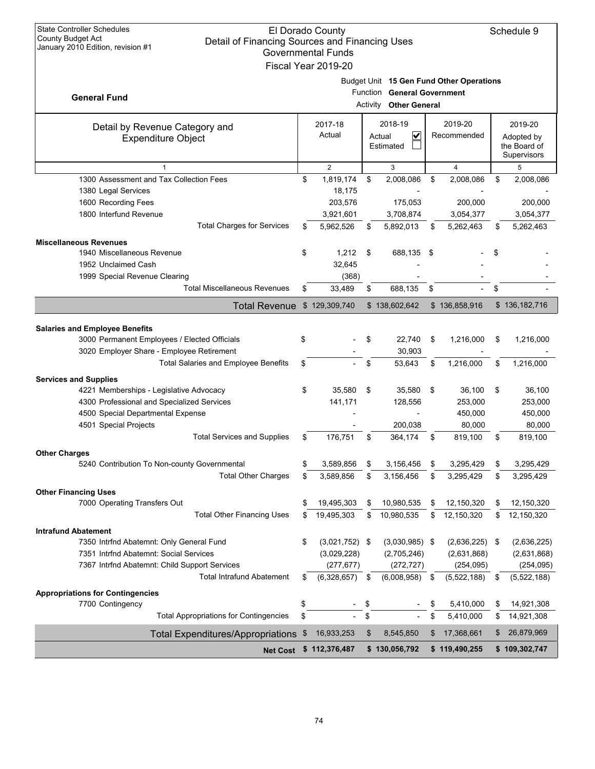| <b>State Controller Schedules</b><br>El Dorado County<br><b>County Budget Act</b><br>Detail of Financing Sources and Financing Uses |        |                  |    |                                  |    |                  |    | Schedule 9                  |
|-------------------------------------------------------------------------------------------------------------------------------------|--------|------------------|----|----------------------------------|----|------------------|----|-----------------------------|
| January 2010 Edition, revision #1<br><b>Governmental Funds</b>                                                                      |        |                  |    |                                  |    |                  |    |                             |
| Fiscal Year 2019-20                                                                                                                 |        |                  |    |                                  |    |                  |    |                             |
| Budget Unit 15 Gen Fund Other Operations                                                                                            |        |                  |    |                                  |    |                  |    |                             |
| <b>General Fund</b>                                                                                                                 |        |                  |    | Function General Government      |    |                  |    |                             |
|                                                                                                                                     |        |                  |    | <b>Other General</b><br>Activity |    |                  |    |                             |
| Detail by Revenue Category and                                                                                                      |        | 2017-18          |    | 2018-19                          |    | 2019-20          |    | 2019-20                     |
| <b>Expenditure Object</b>                                                                                                           |        | Actual           |    | ✓<br>Actual                      |    | Recommended      |    | Adopted by                  |
|                                                                                                                                     |        |                  |    | Estimated                        |    |                  |    | the Board of<br>Supervisors |
|                                                                                                                                     |        | $\overline{2}$   |    | 3                                |    | $\overline{4}$   |    | 5                           |
| 1300 Assessment and Tax Collection Fees                                                                                             | \$     | 1,819,174        | \$ | 2,008,086                        | \$ | 2,008,086        | \$ | 2,008,086                   |
| 1380 Legal Services                                                                                                                 |        | 18,175           |    |                                  |    |                  |    |                             |
| 1600 Recording Fees                                                                                                                 |        | 203,576          |    | 175,053                          |    | 200,000          |    | 200,000                     |
| 1800 Interfund Revenue                                                                                                              |        | 3,921,601        |    | 3,708,874                        |    | 3,054,377        |    | 3,054,377                   |
| <b>Total Charges for Services</b>                                                                                                   | \$     | 5,962,526        | \$ | 5,892,013                        | \$ | 5,262,463        | \$ | 5,262,463                   |
| <b>Miscellaneous Revenues</b>                                                                                                       |        |                  |    |                                  |    |                  |    |                             |
| 1940 Miscellaneous Revenue                                                                                                          | \$     | 1,212            | \$ | 688,135                          | \$ |                  | \$ |                             |
| 1952 Unclaimed Cash                                                                                                                 | 32,645 |                  |    |                                  |    |                  |    |                             |
| 1999 Special Revenue Clearing                                                                                                       | (368)  |                  |    |                                  |    |                  |    |                             |
| <b>Total Miscellaneous Revenues</b>                                                                                                 | \$     | 33,489           | \$ | 688,135                          | \$ |                  | \$ |                             |
| <b>Total Revenue</b>                                                                                                                |        | \$129,309,740    |    | \$138,602,642                    |    | \$136,858,916    |    | \$136,182,716               |
|                                                                                                                                     |        |                  |    |                                  |    |                  |    |                             |
| <b>Salaries and Employee Benefits</b>                                                                                               |        |                  |    |                                  |    |                  |    |                             |
| 3000 Permanent Employees / Elected Officials                                                                                        | \$     |                  | \$ | 22,740                           | \$ | 1,216,000        | \$ | 1,216,000                   |
| 3020 Employer Share - Employee Retirement                                                                                           | \$     |                  |    | 30,903                           |    |                  |    |                             |
| Total Salaries and Employee Benefits                                                                                                |        |                  | \$ | 53,643                           | \$ | 1,216,000        | \$ | 1,216,000                   |
| <b>Services and Supplies</b>                                                                                                        |        |                  |    |                                  |    |                  |    |                             |
| 4221 Memberships - Legislative Advocacy                                                                                             | \$     | 35,580           | \$ | 35,580                           | \$ | 36,100           | \$ | 36,100                      |
| 4300 Professional and Specialized Services                                                                                          |        | 141,171          |    | 128,556                          |    | 253,000          |    | 253,000                     |
| 4500 Special Departmental Expense                                                                                                   |        |                  |    |                                  |    | 450,000          |    | 450,000                     |
| 4501 Special Projects                                                                                                               |        |                  |    | 200,038                          |    | 80,000           |    | 80,000                      |
| <b>Total Services and Supplies</b>                                                                                                  | \$     | 176,751          | \$ | 364,174                          | \$ | 819,100          | \$ | 819,100                     |
| <b>Other Charges</b>                                                                                                                |        |                  |    |                                  |    |                  |    |                             |
| 5240 Contribution To Non-county Governmental                                                                                        | \$     | 3,589,856        | \$ | 3,156,456                        | \$ | 3,295,429        | \$ | 3,295,429                   |
| <b>Total Other Charges</b>                                                                                                          | \$     | 3,589,856        | \$ | 3,156,456                        | \$ | 3,295,429        | \$ | 3,295,429                   |
| <b>Other Financing Uses</b>                                                                                                         |        |                  |    |                                  |    |                  |    |                             |
| 7000 Operating Transfers Out                                                                                                        | \$     | 19,495,303       | \$ | 10,980,535                       | \$ | 12,150,320       | \$ | 12,150,320                  |
| <b>Total Other Financing Uses</b>                                                                                                   | \$     | 19,495,303       | \$ | 10,980,535                       | \$ | 12,150,320       | \$ | 12,150,320                  |
| <b>Intrafund Abatement</b>                                                                                                          |        |                  |    |                                  |    |                  |    |                             |
| 7350 Intrfnd Abatemnt: Only General Fund                                                                                            | \$     | $(3,021,752)$ \$ |    | $(3,030,985)$ \$                 |    | $(2,636,225)$ \$ |    | (2,636,225)                 |
| 7351 Intrfnd Abatemnt: Social Services                                                                                              |        | (3,029,228)      |    | (2,705,246)                      |    | (2,631,868)      |    | (2,631,868)                 |
| 7367 Intrfnd Abatemnt: Child Support Services                                                                                       |        | (277, 677)       |    | (272, 727)                       |    | (254, 095)       |    | (254, 095)                  |
| <b>Total Intrafund Abatement</b>                                                                                                    | \$     | (6,328,657)      | \$ | (6,008,958)                      | \$ | (5,522,188)      | \$ | (5,522,188)                 |
| <b>Appropriations for Contingencies</b>                                                                                             |        |                  |    |                                  |    |                  |    |                             |
| 7700 Contingency                                                                                                                    | \$     |                  | \$ |                                  | \$ | 5,410,000        | \$ | 14,921,308                  |
| <b>Total Appropriations for Contingencies</b>                                                                                       | \$     |                  | \$ |                                  | \$ | 5,410,000        | \$ | 14,921,308                  |
| <b>Total Expenditures/Appropriations</b>                                                                                            | \$     | 16,933,253       | \$ | 8,545,850                        | \$ | 17,368,661       | \$ | 26,879,969                  |
|                                                                                                                                     |        |                  |    |                                  |    |                  |    |                             |
| <b>Net Cost</b>                                                                                                                     |        | \$112,376,487    |    | \$130,056,792                    |    | \$119,490,255    |    | \$109,302,747               |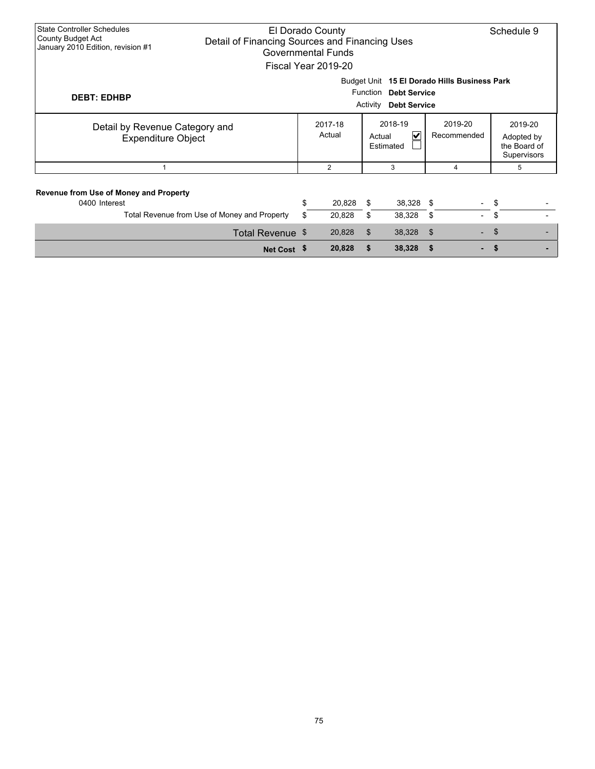| <b>State Controller Schedules</b><br>El Dorado County<br>County Budget Act<br>Detail of Financing Sources and Financing Uses<br>January 2010 Edition, revision #1<br>Governmental Funds<br>Fiscal Year 2019-20 |                  |                                                          |                  |                        |                       |                                                      |          | Schedule 9 |
|----------------------------------------------------------------------------------------------------------------------------------------------------------------------------------------------------------------|------------------|----------------------------------------------------------|------------------|------------------------|-----------------------|------------------------------------------------------|----------|------------|
| Budget Unit 15 El Dorado Hills Business Park<br>Function<br><b>Debt Service</b><br><b>DEBT: EDHBP</b><br><b>Debt Service</b><br>Activity                                                                       |                  |                                                          |                  |                        |                       |                                                      |          |            |
| Detail by Revenue Category and<br><b>Expenditure Object</b>                                                                                                                                                    |                  | 2018-19<br>2017-18<br>Actual<br>V<br>Actual<br>Estimated |                  | 2019-20<br>Recommended |                       | 2019-20<br>Adopted by<br>the Board of<br>Supervisors |          |            |
| 1                                                                                                                                                                                                              |                  |                                                          | $\overline{2}$   |                        | 3                     | 4                                                    |          | 5          |
| Revenue from Use of Money and Property<br>0400 Interest<br>Total Revenue from Use of Money and Property                                                                                                        |                  | \$<br>\$                                                 | 20,828<br>20,828 | \$<br>\$               | $38,328$ \$<br>38,328 | $\overline{\phantom{a}}$<br>\$<br>$\sim$             | \$<br>\$ |            |
|                                                                                                                                                                                                                | Total Revenue \$ |                                                          | 20,828           | \$                     | 38,328                | -\$                                                  | \$       |            |
|                                                                                                                                                                                                                | Net Cost \$      |                                                          | 20,828           | \$                     | 38,328                |                                                      | \$       |            |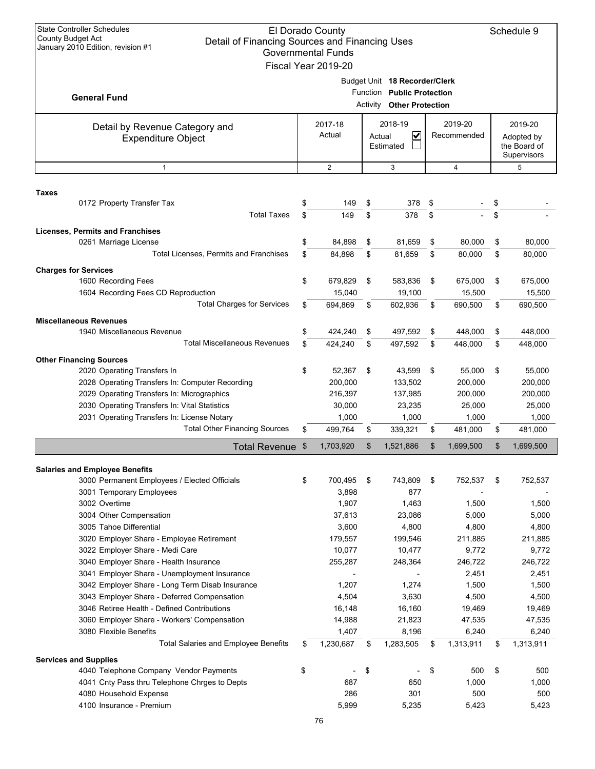| <b>State Controller Schedules</b><br>El Dorado County<br><b>County Budget Act</b><br>Detail of Financing Sources and Financing Uses<br>January 2010 Edition, revision #1<br><b>Governmental Funds</b><br>Fiscal Year 2019-20 |                                                                                        |          |                   |                                                                                          |                                     |                        |                   |                                                      | Schedule 9        |
|------------------------------------------------------------------------------------------------------------------------------------------------------------------------------------------------------------------------------|----------------------------------------------------------------------------------------|----------|-------------------|------------------------------------------------------------------------------------------|-------------------------------------|------------------------|-------------------|------------------------------------------------------|-------------------|
| <b>General Fund</b>                                                                                                                                                                                                          |                                                                                        |          |                   | Budget Unit 18 Recorder/Clerk<br>Function Public Protection<br>Activity Other Protection |                                     |                        |                   |                                                      |                   |
|                                                                                                                                                                                                                              | Detail by Revenue Category and<br><b>Expenditure Object</b>                            |          | 2017-18<br>Actual | Actual                                                                                   | 2018-19<br>V<br>Estimated           | 2019-20<br>Recommended |                   | 2019-20<br>Adopted by<br>the Board of<br>Supervisors |                   |
|                                                                                                                                                                                                                              | 1                                                                                      |          | $\mathbf{2}$      |                                                                                          | 3                                   |                        | 4                 |                                                      | 5                 |
| <b>Taxes</b>                                                                                                                                                                                                                 |                                                                                        |          |                   |                                                                                          |                                     |                        |                   |                                                      |                   |
|                                                                                                                                                                                                                              | 0172 Property Transfer Tax<br><b>Total Taxes</b>                                       | \$<br>\$ | 149<br>149        | \$<br>\$                                                                                 | 378<br>378                          | \$<br>\$               |                   | \$<br>\$                                             |                   |
|                                                                                                                                                                                                                              | <b>Licenses, Permits and Franchises</b>                                                |          |                   |                                                                                          |                                     |                        |                   |                                                      |                   |
|                                                                                                                                                                                                                              | 0261 Marriage License                                                                  | \$       | 84,898            | \$                                                                                       | 81,659                              | \$                     | 80,000            | \$                                                   | 80,000            |
|                                                                                                                                                                                                                              | <b>Total Licenses, Permits and Franchises</b>                                          | \$       | 84,898            | \$                                                                                       | 81.659                              | \$                     | 80,000            | \$                                                   | 80,000            |
| <b>Charges for Services</b>                                                                                                                                                                                                  |                                                                                        |          |                   |                                                                                          |                                     |                        |                   |                                                      |                   |
|                                                                                                                                                                                                                              | 1600 Recording Fees                                                                    | \$       | 679,829           | \$                                                                                       | 583,836                             | \$                     | 675,000           | \$                                                   | 675,000           |
|                                                                                                                                                                                                                              | 1604 Recording Fees CD Reproduction<br><b>Total Charges for Services</b>               | \$       | 15,040<br>694,869 | \$                                                                                       | 19,100<br>602,936                   | \$                     | 15,500<br>690,500 | \$                                                   | 15,500<br>690,500 |
|                                                                                                                                                                                                                              |                                                                                        |          |                   |                                                                                          |                                     |                        |                   |                                                      |                   |
|                                                                                                                                                                                                                              | <b>Miscellaneous Revenues</b><br>1940 Miscellaneous Revenue                            | \$       | 424,240           | \$                                                                                       | 497,592                             | \$                     | 448,000           | \$                                                   | 448,000           |
|                                                                                                                                                                                                                              | <b>Total Miscellaneous Revenues</b>                                                    | \$       | 424,240           | \$                                                                                       | 497,592                             | \$                     | 448,000           | \$                                                   | 448,000           |
|                                                                                                                                                                                                                              |                                                                                        |          |                   |                                                                                          |                                     |                        |                   |                                                      |                   |
|                                                                                                                                                                                                                              | <b>Other Financing Sources</b><br>2020 Operating Transfers In                          | \$       | 52,367            | \$                                                                                       | 43,599                              | \$                     | 55,000            | \$                                                   | 55,000            |
|                                                                                                                                                                                                                              | 2028 Operating Transfers In: Computer Recording                                        |          | 200,000           |                                                                                          | 133,502                             |                        | 200,000           |                                                      | 200,000           |
|                                                                                                                                                                                                                              | 2029 Operating Transfers In: Micrographics                                             |          | 216,397           |                                                                                          | 137,985                             |                        | 200,000           |                                                      | 200,000           |
|                                                                                                                                                                                                                              | 2030 Operating Transfers In: Vital Statistics                                          |          | 30.000            |                                                                                          | 23,235                              |                        | 25,000            |                                                      | 25,000            |
|                                                                                                                                                                                                                              | 2031 Operating Transfers In: License Notary                                            |          | 1,000             |                                                                                          | 1,000                               |                        | 1,000             |                                                      | 1,000             |
|                                                                                                                                                                                                                              | <b>Total Other Financing Sources</b>                                                   | \$       | 499,764           | \$                                                                                       | 339,321                             | \$                     | 481,000           | \$                                                   | 481,000           |
|                                                                                                                                                                                                                              | Total Revenue \$                                                                       |          | 1,703,920         | \$                                                                                       | 1,521,886                           | \$                     | 1,699,500         | \$                                                   | 1,699,500         |
|                                                                                                                                                                                                                              | <b>Salaries and Employee Benefits</b>                                                  |          |                   |                                                                                          |                                     |                        |                   |                                                      |                   |
|                                                                                                                                                                                                                              | 3000 Permanent Employees / Elected Officials                                           | \$       | 700,495           | \$                                                                                       | 743,809                             | \$                     | 752,537           | \$                                                   | 752,537           |
|                                                                                                                                                                                                                              | 3001 Temporary Employees                                                               |          | 3,898             |                                                                                          | 877                                 |                        |                   |                                                      |                   |
|                                                                                                                                                                                                                              | 3002 Overtime                                                                          |          | 1,907             |                                                                                          | 1,463                               |                        | 1,500             |                                                      | 1,500             |
|                                                                                                                                                                                                                              | 3004 Other Compensation                                                                |          | 37,613            |                                                                                          | 23,086                              |                        | 5,000             |                                                      | 5,000             |
|                                                                                                                                                                                                                              | 3005 Tahoe Differential                                                                |          | 3,600             |                                                                                          | 4,800                               |                        | 4,800             |                                                      | 4,800             |
|                                                                                                                                                                                                                              | 3020 Employer Share - Employee Retirement                                              |          | 179,557           |                                                                                          | 199,546                             |                        | 211,885           |                                                      | 211,885           |
|                                                                                                                                                                                                                              | 3022 Employer Share - Medi Care                                                        |          | 10,077            |                                                                                          | 10,477                              |                        | 9,772             |                                                      | 9,772             |
|                                                                                                                                                                                                                              | 3040 Employer Share - Health Insurance<br>3041 Employer Share - Unemployment Insurance |          | 255,287           |                                                                                          | 248,364<br>$\overline{\phantom{a}}$ |                        | 246,722<br>2,451  |                                                      | 246,722<br>2,451  |
|                                                                                                                                                                                                                              | 3042 Employer Share - Long Term Disab Insurance                                        |          | 1,207             |                                                                                          | 1,274                               |                        | 1,500             |                                                      | 1,500             |
|                                                                                                                                                                                                                              | 3043 Employer Share - Deferred Compensation                                            |          | 4,504             |                                                                                          | 3,630                               |                        | 4,500             |                                                      | 4,500             |
|                                                                                                                                                                                                                              | 3046 Retiree Health - Defined Contributions                                            |          | 16,148            |                                                                                          | 16,160                              |                        | 19,469            |                                                      | 19,469            |
|                                                                                                                                                                                                                              | 3060 Employer Share - Workers' Compensation                                            |          | 14,988            |                                                                                          | 21,823                              |                        | 47,535            |                                                      | 47,535            |
|                                                                                                                                                                                                                              | 3080 Flexible Benefits                                                                 |          | 1,407             |                                                                                          | 8,196                               |                        | 6,240             |                                                      | 6,240             |
|                                                                                                                                                                                                                              | <b>Total Salaries and Employee Benefits</b>                                            | \$       | 1,230,687         | \$                                                                                       | 1,283,505                           | \$                     | 1,313,911         | \$                                                   | 1,313,911         |
| <b>Services and Supplies</b>                                                                                                                                                                                                 |                                                                                        |          |                   |                                                                                          |                                     |                        |                   |                                                      |                   |
|                                                                                                                                                                                                                              | 4040 Telephone Company Vendor Payments                                                 | \$       |                   | \$                                                                                       |                                     | \$                     | 500               | \$                                                   | 500               |
|                                                                                                                                                                                                                              | 4041 Cnty Pass thru Telephone Chrges to Depts                                          |          | 687               |                                                                                          | 650                                 |                        | 1,000             |                                                      | 1,000             |
|                                                                                                                                                                                                                              | 4080 Household Expense                                                                 |          | 286               |                                                                                          | 301                                 |                        | 500               |                                                      | 500               |
|                                                                                                                                                                                                                              | 4100 Insurance - Premium                                                               |          | 5,999             |                                                                                          | 5,235                               |                        | 5,423             |                                                      | 5,423             |
|                                                                                                                                                                                                                              |                                                                                        |          | 76                |                                                                                          |                                     |                        |                   |                                                      |                   |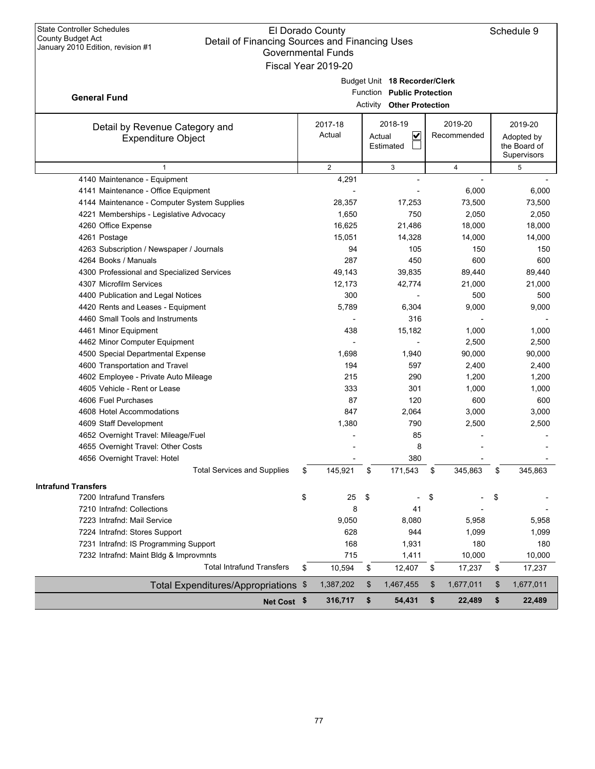| <b>State Controller Schedules</b> |
|-----------------------------------|
| County Budget Act                 |
| January 2010 Edition, revision #1 |

**General Fund**

## El Dorado County Detail of Financing Sources and Financing Uses Governmental Funds Fiscal Year 2019-20

| Budget Unit 18 Recorder/Clerk |
|-------------------------------|

| .                          | . |
|----------------------------|---|
| Function Public Protection |   |

|  | Activity Other Protection |
|--|---------------------------|

|                                                             |                   | <b>Activity Other Protection</b>    |    |                        |    |                                                      |  |  |
|-------------------------------------------------------------|-------------------|-------------------------------------|----|------------------------|----|------------------------------------------------------|--|--|
| Detail by Revenue Category and<br><b>Expenditure Object</b> | 2017-18<br>Actual | 2018-19<br>V<br>Actual<br>Estimated |    | 2019-20<br>Recommended |    | 2019-20<br>Adopted by<br>the Board of<br>Supervisors |  |  |
| $\mathbf{1}$                                                | 2                 | 3                                   |    | $\overline{4}$         |    | 5                                                    |  |  |
| 4140 Maintenance - Equipment                                | 4,291             | $\overline{a}$                      |    |                        |    |                                                      |  |  |
| 4141 Maintenance - Office Equipment                         |                   |                                     |    | 6,000                  |    | 6,000                                                |  |  |
| 4144 Maintenance - Computer System Supplies                 | 28,357            | 17,253                              |    | 73,500                 |    | 73,500                                               |  |  |
| 4221 Memberships - Legislative Advocacy                     | 1,650             | 750                                 |    | 2,050                  |    | 2,050                                                |  |  |
| 4260 Office Expense                                         | 16,625            | 21,486                              |    | 18,000                 |    | 18,000                                               |  |  |
| 4261 Postage                                                | 15,051            | 14,328                              |    | 14,000                 |    | 14,000                                               |  |  |
| 4263 Subscription / Newspaper / Journals                    | 94                | 105                                 |    | 150                    |    | 150                                                  |  |  |
| 4264 Books / Manuals                                        | 287               | 450                                 |    | 600                    |    | 600                                                  |  |  |
| 4300 Professional and Specialized Services                  | 49,143            | 39,835                              |    | 89,440                 |    | 89,440                                               |  |  |
| 4307 Microfilm Services                                     | 12,173            | 42,774                              |    | 21,000                 |    | 21,000                                               |  |  |
| 4400 Publication and Legal Notices                          | 300               |                                     |    | 500                    |    | 500                                                  |  |  |
| 4420 Rents and Leases - Equipment                           | 5,789             | 6,304                               |    | 9,000                  |    | 9,000                                                |  |  |
| 4460 Small Tools and Instruments                            |                   | 316                                 |    |                        |    |                                                      |  |  |
| 4461 Minor Equipment                                        | 438               | 15,182                              |    | 1,000                  |    | 1,000                                                |  |  |
| 4462 Minor Computer Equipment                               |                   |                                     |    | 2,500                  |    | 2,500                                                |  |  |
| 4500 Special Departmental Expense                           | 1,698             | 1,940                               |    | 90,000                 |    | 90,000                                               |  |  |
| 4600 Transportation and Travel                              | 194               | 597                                 |    | 2,400                  |    | 2,400                                                |  |  |
| 4602 Employee - Private Auto Mileage                        | 215               | 290                                 |    | 1,200                  |    | 1,200                                                |  |  |
| 4605 Vehicle - Rent or Lease                                | 333               | 301                                 |    | 1,000                  |    | 1,000                                                |  |  |
| 4606 Fuel Purchases                                         | 87                | 120                                 |    | 600                    |    | 600                                                  |  |  |
| 4608 Hotel Accommodations                                   | 847               | 2,064                               |    | 3,000                  |    | 3,000                                                |  |  |
| 4609 Staff Development                                      | 1,380             | 790                                 |    | 2,500                  |    | 2,500                                                |  |  |
| 4652 Overnight Travel: Mileage/Fuel                         |                   | 85                                  |    |                        |    |                                                      |  |  |
| 4655 Overnight Travel: Other Costs                          |                   | 8                                   |    |                        |    |                                                      |  |  |
| 4656 Overnight Travel: Hotel                                |                   | 380                                 |    |                        |    |                                                      |  |  |
| <b>Total Services and Supplies</b>                          | \$<br>145,921     | \$<br>171,543                       | \$ | 345,863                | \$ | 345,863                                              |  |  |
| <b>Intrafund Transfers</b>                                  |                   |                                     |    |                        |    |                                                      |  |  |
| 7200 Intrafund Transfers                                    | \$<br>25          | \$                                  | \$ |                        | \$ |                                                      |  |  |
| 7210 Intrafnd: Collections                                  | 8                 | 41                                  |    |                        |    |                                                      |  |  |
| 7223 Intrafnd: Mail Service                                 | 9,050             | 8,080                               |    | 5,958                  |    | 5,958                                                |  |  |
| 7224 Intrafnd: Stores Support                               | 628               | 944                                 |    | 1,099                  |    | 1,099                                                |  |  |
| 7231 Intrafnd: IS Programming Support                       | 168               | 1,931                               |    | 180                    |    | 180                                                  |  |  |
| 7232 Intrafnd: Maint Bldg & Improvmnts                      | 715               | 1,411                               |    | 10,000                 |    | 10,000                                               |  |  |
| <b>Total Intrafund Transfers</b>                            | \$<br>10,594      | 12,407<br>\$                        | \$ | 17,237                 | \$ | 17,237                                               |  |  |
| Total Expenditures/Appropriations \$                        | 1,387,202         | \$<br>1,467,455                     | \$ | 1,677,011              | \$ | 1,677,011                                            |  |  |
| Net Cost \$                                                 | 316,717           | \$<br>54,431                        | \$ | 22,489                 | \$ | 22,489                                               |  |  |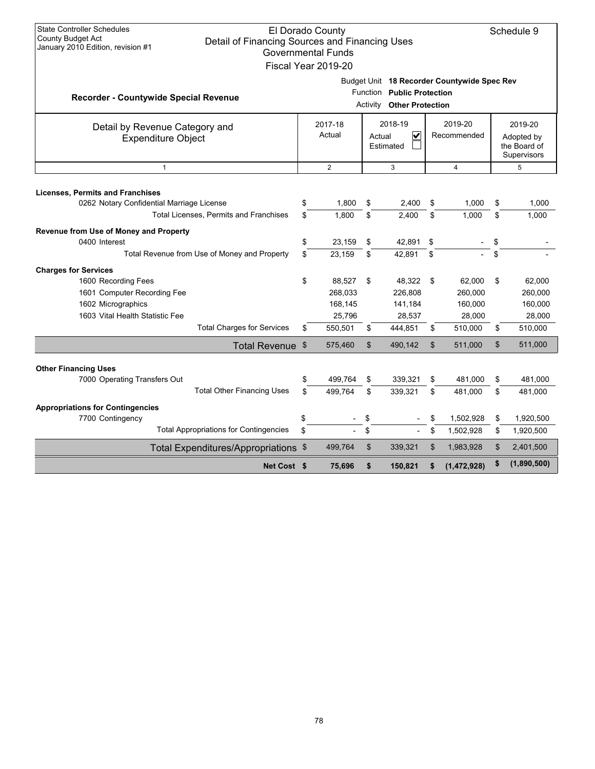| <b>State Controller Schedules</b><br>County Budget Act<br>Detail of Financing Sources and Financing Uses<br>January 2010 Edition, revision #1 |          | El Dorado County<br><b>Governmental Funds</b><br>Fiscal Year 2019-20                                             |          |                                                           |                        |                                        |          | Schedule 9                                           |  |
|-----------------------------------------------------------------------------------------------------------------------------------------------|----------|------------------------------------------------------------------------------------------------------------------|----------|-----------------------------------------------------------|------------------------|----------------------------------------|----------|------------------------------------------------------|--|
| Recorder - Countywide Special Revenue                                                                                                         |          | Budget Unit 18 Recorder Countywide Spec Rev<br>Function Public Protection<br><b>Other Protection</b><br>Activity |          |                                                           |                        |                                        |          |                                                      |  |
| Detail by Revenue Category and<br><b>Expenditure Object</b>                                                                                   |          | 2017-18<br>Actual                                                                                                |          | 2018-19<br>$\overline{\mathsf{v}}$<br>Actual<br>Estimated | 2019-20<br>Recommended |                                        |          | 2019-20<br>Adopted by<br>the Board of<br>Supervisors |  |
| $\mathbf{1}$                                                                                                                                  |          | $\overline{2}$                                                                                                   |          | 3                                                         |                        | $\overline{4}$                         |          | 5                                                    |  |
| <b>Licenses, Permits and Franchises</b><br>0262 Notary Confidential Marriage License<br>Total Licenses, Permits and Franchises                | \$<br>\$ | 1,800<br>1,800                                                                                                   | \$<br>\$ | 2,400<br>2,400                                            | \$<br>\$               | 1,000<br>1,000                         | \$<br>\$ | 1,000<br>1,000                                       |  |
| Revenue from Use of Money and Property<br>0400 Interest<br>Total Revenue from Use of Money and Property                                       | \$<br>\$ | 23,159<br>23,159                                                                                                 | \$<br>\$ | 42,891<br>42,891                                          | \$<br>\$               |                                        | \$<br>\$ |                                                      |  |
| <b>Charges for Services</b><br>1600 Recording Fees<br>1601 Computer Recording Fee<br>1602 Micrographics<br>1603 Vital Health Statistic Fee    | \$       | 88,527<br>268,033<br>168,145<br>25.796                                                                           | \$       | 48,322<br>226,808<br>141,184<br>28,537                    | \$                     | 62,000<br>260,000<br>160,000<br>28,000 | \$       | 62,000<br>260,000<br>160,000<br>28,000               |  |
| <b>Total Charges for Services</b>                                                                                                             | \$       | 550,501                                                                                                          | \$       | 444,851                                                   | \$                     | 510,000                                | \$       | 510,000                                              |  |
| Total Revenue \$                                                                                                                              |          | 575,460                                                                                                          | \$       | 490,142                                                   | \$                     | 511,000                                | \$       | 511,000                                              |  |
| <b>Other Financing Uses</b><br>7000 Operating Transfers Out<br><b>Total Other Financing Uses</b>                                              | \$<br>\$ | 499.764<br>499.764                                                                                               | \$<br>\$ | 339,321<br>339.321                                        | \$<br>\$               | 481,000<br>481.000                     | \$<br>\$ | 481,000<br>481.000                                   |  |
| <b>Appropriations for Contingencies</b><br>7700 Contingency<br><b>Total Appropriations for Contingencies</b>                                  | \$<br>\$ |                                                                                                                  | \$<br>\$ | $\overline{\phantom{a}}$                                  | \$<br>\$               | 1,502,928<br>1,502,928                 | \$<br>\$ | 1,920,500<br>1,920,500                               |  |
| Total Expenditures/Appropriations \$                                                                                                          |          | 499,764                                                                                                          | \$       | 339,321                                                   | \$                     | 1,983,928                              | \$       | 2,401,500                                            |  |
| Net Cost \$                                                                                                                                   |          | 75.696                                                                                                           | \$       | 150,821                                                   |                        | (1,472,928)                            | \$       | (1,890,500)                                          |  |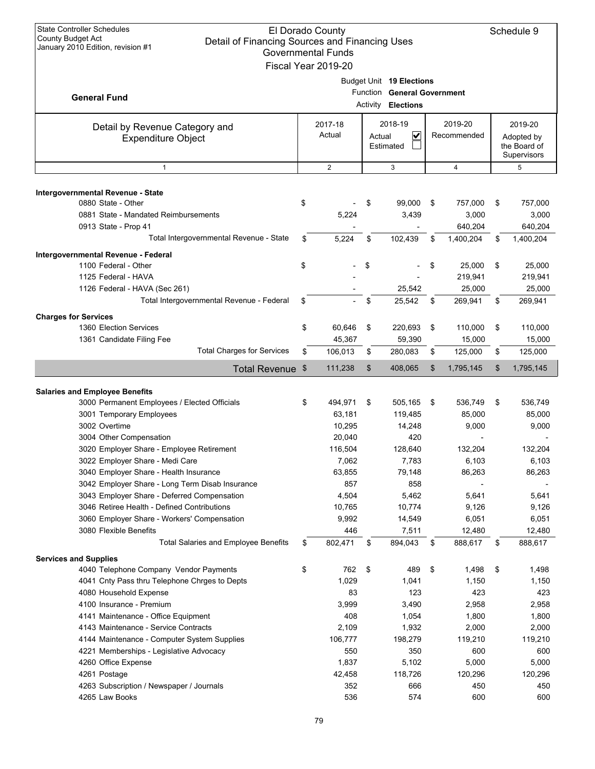| <b>State Controller Schedules</b><br><b>County Budget Act</b><br>Detail of Financing Sources and Financing Uses<br>January 2010 Edition, revision #1                                                                                                                                                                                                                          |                                                                                                   | El Dorado County<br><b>Governmental Funds</b><br>Fiscal Year 2019-20       |        |                                                                           |    |                                                                             |    | Schedule 9                                                                  |
|-------------------------------------------------------------------------------------------------------------------------------------------------------------------------------------------------------------------------------------------------------------------------------------------------------------------------------------------------------------------------------|---------------------------------------------------------------------------------------------------|----------------------------------------------------------------------------|--------|---------------------------------------------------------------------------|----|-----------------------------------------------------------------------------|----|-----------------------------------------------------------------------------|
| <b>General Fund</b>                                                                                                                                                                                                                                                                                                                                                           | Budget Unit 19 Elections<br>Function<br><b>General Government</b><br><b>Elections</b><br>Activity |                                                                            |        |                                                                           |    |                                                                             |    |                                                                             |
| Detail by Revenue Category and<br><b>Expenditure Object</b>                                                                                                                                                                                                                                                                                                                   |                                                                                                   | 2017-18<br>Actual                                                          | Actual | 2018-19<br>$\checkmark$<br>Estimated                                      |    | 2019-20<br>Recommended                                                      |    | 2019-20<br>Adopted by<br>the Board of<br>Supervisors                        |
| $\mathbf{1}$                                                                                                                                                                                                                                                                                                                                                                  |                                                                                                   | $\overline{2}$                                                             |        | 3                                                                         |    | $\overline{4}$                                                              |    | 5                                                                           |
| Intergovernmental Revenue - State<br>0880 State - Other<br>0881 State - Mandated Reimbursements                                                                                                                                                                                                                                                                               | \$                                                                                                | 5,224                                                                      | \$     | 99,000<br>3,439                                                           | \$ | 757,000<br>3,000                                                            | \$ | 757,000<br>3,000                                                            |
| 0913 State - Prop 41                                                                                                                                                                                                                                                                                                                                                          |                                                                                                   |                                                                            |        |                                                                           |    | 640,204                                                                     |    | 640,204                                                                     |
| Total Intergovernmental Revenue - State                                                                                                                                                                                                                                                                                                                                       | \$                                                                                                | 5,224                                                                      | \$     | 102,439                                                                   | \$ | 1,400,204                                                                   | \$ | 1,400,204                                                                   |
| Intergovernmental Revenue - Federal<br>1100 Federal - Other<br>1125 Federal - HAVA<br>1126 Federal - HAVA (Sec 261)                                                                                                                                                                                                                                                           | \$                                                                                                |                                                                            | \$     | 25,542                                                                    | \$ | 25,000<br>219,941<br>25.000                                                 | \$ | 25,000<br>219,941<br>25,000                                                 |
| Total Intergovernmental Revenue - Federal                                                                                                                                                                                                                                                                                                                                     | \$                                                                                                |                                                                            | \$     | 25,542                                                                    | \$ | 269,941                                                                     | \$ | 269,941                                                                     |
| <b>Charges for Services</b><br>1360 Election Services<br>1361 Candidate Filing Fee                                                                                                                                                                                                                                                                                            | \$                                                                                                | 60,646<br>45,367                                                           | \$     | 220,693<br>59,390                                                         | \$ | 110,000<br>15,000                                                           | \$ | 110,000<br>15,000                                                           |
| <b>Total Charges for Services</b>                                                                                                                                                                                                                                                                                                                                             | \$                                                                                                | 106,013                                                                    | \$     | 280,083                                                                   | \$ | 125,000                                                                     | \$ | 125,000                                                                     |
| <b>Total Revenue</b>                                                                                                                                                                                                                                                                                                                                                          | \$                                                                                                | 111,238                                                                    | \$     | 408,065                                                                   | \$ | 1,795,145                                                                   | \$ | 1,795,145                                                                   |
| <b>Salaries and Employee Benefits</b>                                                                                                                                                                                                                                                                                                                                         |                                                                                                   |                                                                            |        |                                                                           |    |                                                                             |    |                                                                             |
| 3000 Permanent Employees / Elected Officials<br>3001 Temporary Employees<br>3002 Overtime<br>3004 Other Compensation<br>3020 Employer Share - Employee Retirement<br>3022 Employer Share - Medi Care<br>3040 Employer Share - Health Insurance<br>3042 Employer Share - Long Term Disab Insurance                                                                             | \$                                                                                                | 494,971<br>63,181<br>10,295<br>20,040<br>116,504<br>7,062<br>63,855<br>857 | \$     | 505,165<br>119,485<br>14,248<br>420<br>128,640<br>7,783<br>79,148<br>858  | \$ | 536,749<br>85,000<br>9,000<br>132,204<br>6,103<br>86,263                    | \$ | 536,749<br>85,000<br>9,000<br>132,204<br>6,103<br>86,263                    |
| 3043 Employer Share - Deferred Compensation<br>3046 Retiree Health - Defined Contributions<br>3060 Employer Share - Workers' Compensation<br>3080 Flexible Benefits                                                                                                                                                                                                           |                                                                                                   | 4,504<br>10,765<br>9,992<br>446                                            |        | 5,462<br>10,774<br>14,549<br>7,511                                        |    | 5,641<br>9,126<br>6,051<br>12,480                                           |    | 5,641<br>9,126<br>6,051<br>12,480                                           |
| <b>Total Salaries and Employee Benefits</b>                                                                                                                                                                                                                                                                                                                                   | \$                                                                                                | 802,471                                                                    | \$     | 894,043                                                                   | \$ | 888,617                                                                     | \$ | 888,617                                                                     |
| <b>Services and Supplies</b><br>4040 Telephone Company Vendor Payments<br>4041 Cnty Pass thru Telephone Chrges to Depts<br>4080 Household Expense<br>4100 Insurance - Premium<br>4141 Maintenance - Office Equipment<br>4143 Maintenance - Service Contracts<br>4144 Maintenance - Computer System Supplies<br>4221 Memberships - Legislative Advocacy<br>4260 Office Expense | \$                                                                                                | 762<br>1,029<br>83<br>3,999<br>408<br>2,109<br>106,777<br>550<br>1,837     | \$     | 489<br>1,041<br>123<br>3,490<br>1,054<br>1,932<br>198,279<br>350<br>5,102 | \$ | 1,498<br>1,150<br>423<br>2,958<br>1,800<br>2,000<br>119,210<br>600<br>5,000 | \$ | 1,498<br>1,150<br>423<br>2,958<br>1,800<br>2,000<br>119,210<br>600<br>5,000 |
| 4261 Postage<br>4263 Subscription / Newspaper / Journals<br>4265 Law Books                                                                                                                                                                                                                                                                                                    |                                                                                                   | 42,458<br>352<br>536                                                       |        | 118,726<br>666<br>574                                                     |    | 120,296<br>450<br>600                                                       |    | 120,296<br>450<br>600                                                       |